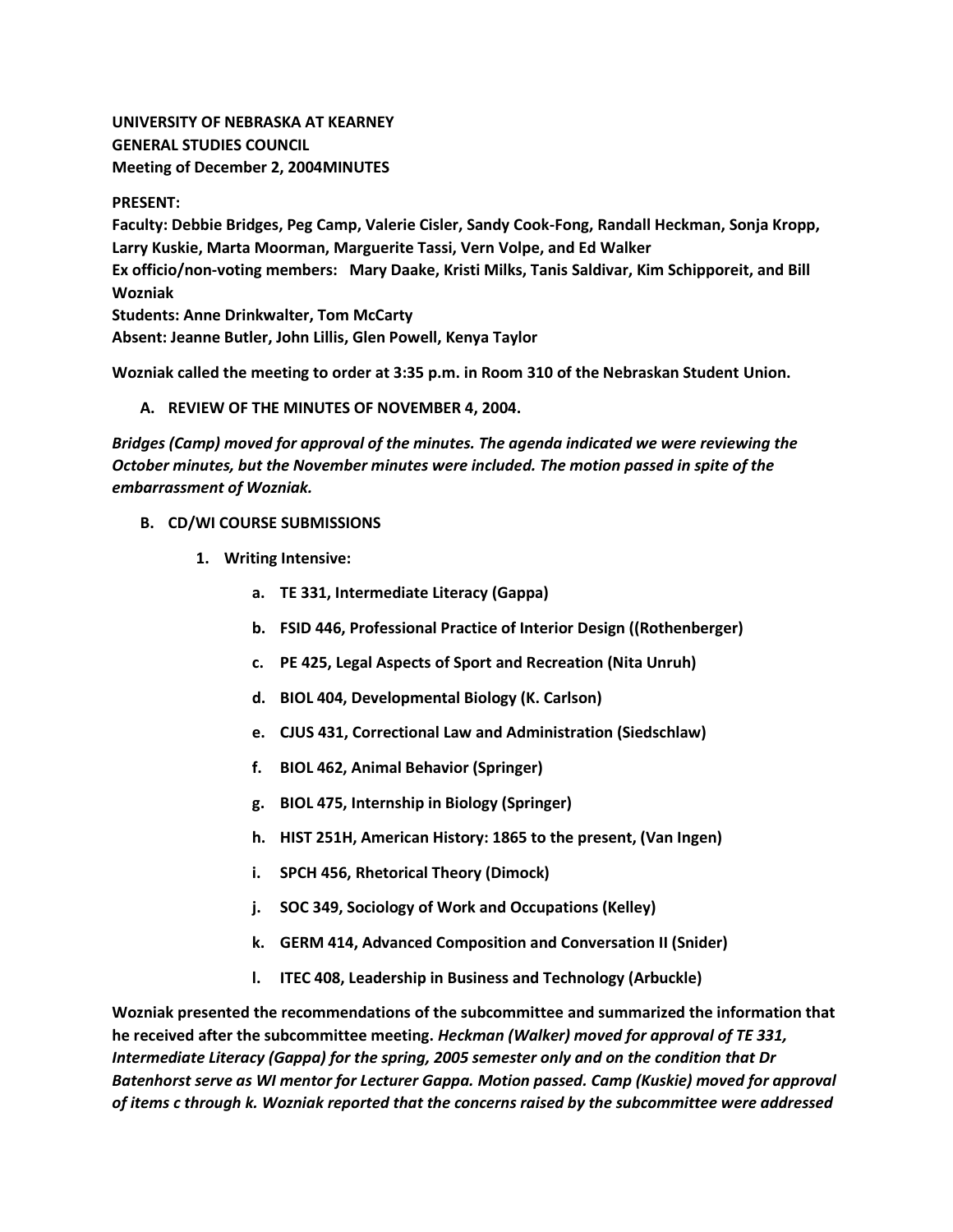**UNIVERSITY OF NEBRASKA AT KEARNEY GENERAL STUDIES COUNCIL Meeting of December 2, 2004MINUTES**

**PRESENT:**

**Faculty: Debbie Bridges, Peg Camp, Valerie Cisler, Sandy Cook-Fong, Randall Heckman, Sonja Kropp, Larry Kuskie, Marta Moorman, Marguerite Tassi, Vern Volpe, and Ed Walker Ex officio/non-voting members: Mary Daake, Kristi Milks, Tanis Saldivar, Kim Schipporeit, and Bill Wozniak Students: Anne Drinkwalter, Tom McCarty Absent: Jeanne Butler, John Lillis, Glen Powell, Kenya Taylor**

**Wozniak called the meeting to order at 3:35 p.m. in Room 310 of the Nebraskan Student Union.**

## **A. REVIEW OF THE MINUTES OF NOVEMBER 4, 2004.**

*Bridges (Camp) moved for approval of the minutes. The agenda indicated we were reviewing the October minutes, but the November minutes were included. The motion passed in spite of the embarrassment of Wozniak.*

#### **B. CD/WI COURSE SUBMISSIONS**

- **1. Writing Intensive:** 
	- **a. TE 331, Intermediate Literacy (Gappa)**
	- **b. FSID 446, Professional Practice of Interior Design ((Rothenberger)**
	- **c. PE 425, Legal Aspects of Sport and Recreation (Nita Unruh)**
	- **d. BIOL 404, Developmental Biology (K. Carlson)**
	- **e. CJUS 431, Correctional Law and Administration (Siedschlaw)**
	- **f. BIOL 462, Animal Behavior (Springer)**
	- **g. BIOL 475, Internship in Biology (Springer)**
	- **h. HIST 251H, American History: 1865 to the present, (Van Ingen)**
	- **i. SPCH 456, Rhetorical Theory (Dimock)**
	- **j. SOC 349, Sociology of Work and Occupations (Kelley)**
	- **k. GERM 414, Advanced Composition and Conversation II (Snider)**
	- **l. ITEC 408, Leadership in Business and Technology (Arbuckle)**

**Wozniak presented the recommendations of the subcommittee and summarized the information that he received after the subcommittee meeting.** *Heckman (Walker) moved for approval of TE 331, Intermediate Literacy (Gappa) for the spring, 2005 semester only and on the condition that Dr Batenhorst serve as WI mentor for Lecturer Gappa. Motion passed. Camp (Kuskie) moved for approval of items c through k. Wozniak reported that the concerns raised by the subcommittee were addressed*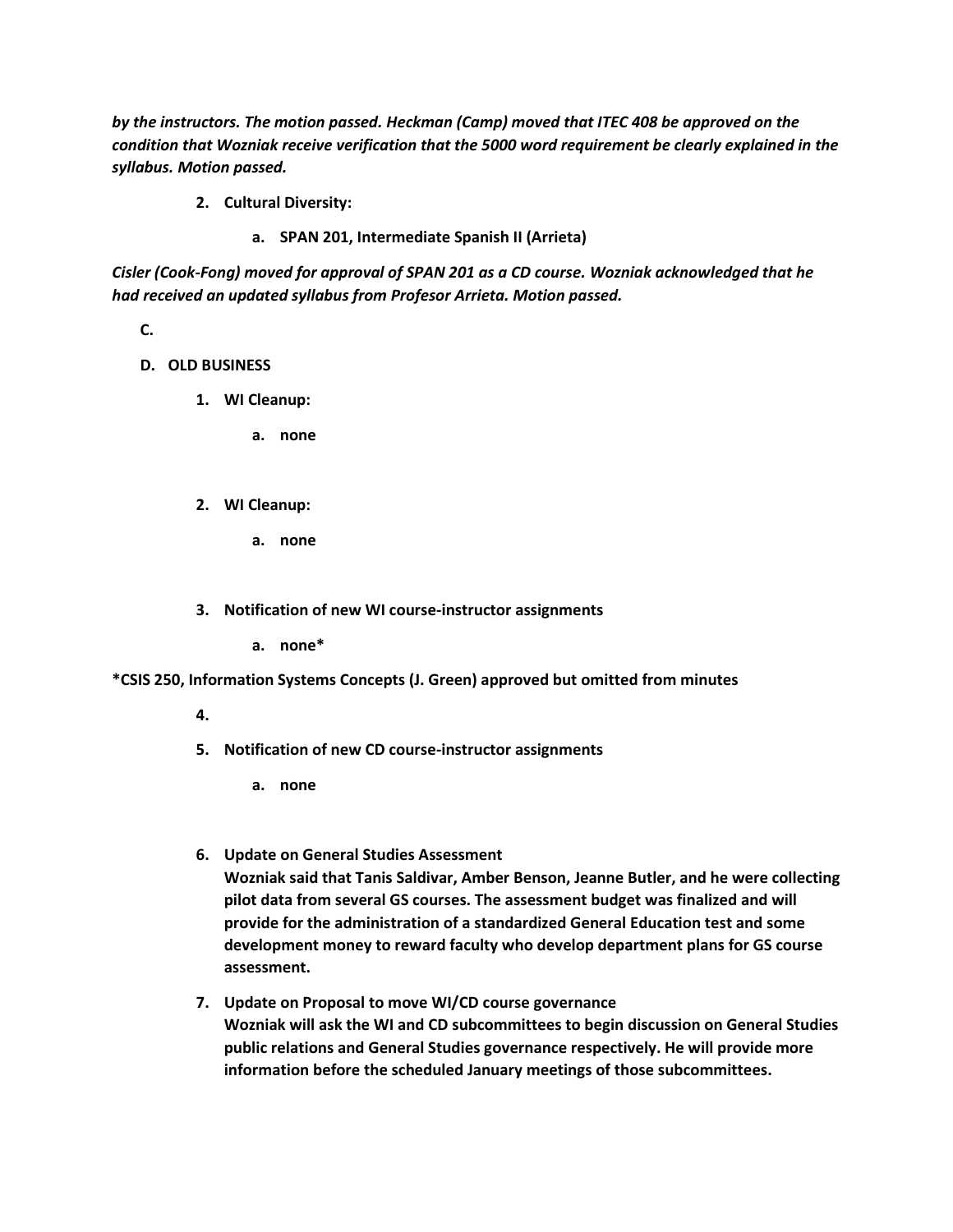*by the instructors. The motion passed. Heckman (Camp) moved that ITEC 408 be approved on the condition that Wozniak receive verification that the 5000 word requirement be clearly explained in the syllabus. Motion passed.*

- **2. Cultural Diversity:** 
	- **a. SPAN 201, Intermediate Spanish II (Arrieta)**

*Cisler (Cook-Fong) moved for approval of SPAN 201 as a CD course. Wozniak acknowledged that he had received an updated syllabus from Profesor Arrieta. Motion passed.*

**C.**

- **D. OLD BUSINESS**
	- **1. WI Cleanup:** 
		- **a. none**
	- **2. WI Cleanup:** 
		- **a. none**
	- **3. Notification of new WI course-instructor assignments**

**a. none\*** 

**\*CSIS 250, Information Systems Concepts (J. Green) approved but omitted from minutes**

- **4.**
- **5. Notification of new CD course-instructor assignments** 
	- **a. none**
- **6. Update on General Studies Assessment Wozniak said that Tanis Saldivar, Amber Benson, Jeanne Butler, and he were collecting pilot data from several GS courses. The assessment budget was finalized and will provide for the administration of a standardized General Education test and some development money to reward faculty who develop department plans for GS course assessment.**
- **7. Update on Proposal to move WI/CD course governance Wozniak will ask the WI and CD subcommittees to begin discussion on General Studies public relations and General Studies governance respectively. He will provide more information before the scheduled January meetings of those subcommittees.**